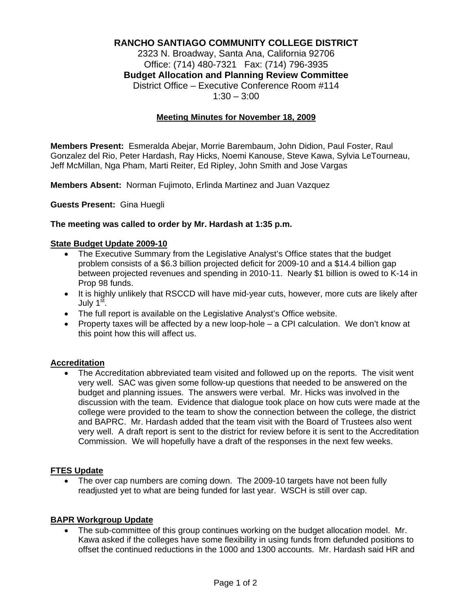# **RANCHO SANTIAGO COMMUNITY COLLEGE DISTRICT**

2323 N. Broadway, Santa Ana, California 92706 Office: (714) 480-7321 Fax: (714) 796-3935 **Budget Allocation and Planning Review Committee** District Office – Executive Conference Room #114  $1:30 - 3:00$ 

#### **Meeting Minutes for November 18, 2009**

**Members Present:** Esmeralda Abejar, Morrie Barembaum, John Didion, Paul Foster, Raul Gonzalez del Rio, Peter Hardash, Ray Hicks, Noemi Kanouse, Steve Kawa, Sylvia LeTourneau, Jeff McMillan, Nga Pham, Marti Reiter, Ed Ripley, John Smith and Jose Vargas

**Members Absent:** Norman Fujimoto, Erlinda Martinez and Juan Vazquez

**Guests Present:** Gina Huegli

#### **The meeting was called to order by Mr. Hardash at 1:35 p.m.**

### **State Budget Update 2009-10**

- The Executive Summary from the Legislative Analyst's Office states that the budget problem consists of a \$6.3 billion projected deficit for 2009-10 and a \$14.4 billion gap between projected revenues and spending in 2010-11. Nearly \$1 billion is owed to K-14 in Prop 98 funds.
- It is highly unlikely that RSCCD will have mid-year cuts, however, more cuts are likely after July 1st.
- The full report is available on the Legislative Analyst's Office website.
- Property taxes will be affected by a new loop-hole a CPI calculation. We don't know at this point how this will affect us.

#### **Accreditation**

• The Accreditation abbreviated team visited and followed up on the reports. The visit went very well. SAC was given some follow-up questions that needed to be answered on the budget and planning issues. The answers were verbal. Mr. Hicks was involved in the discussion with the team. Evidence that dialogue took place on how cuts were made at the college were provided to the team to show the connection between the college, the district and BAPRC. Mr. Hardash added that the team visit with the Board of Trustees also went very well. A draft report is sent to the district for review before it is sent to the Accreditation Commission. We will hopefully have a draft of the responses in the next few weeks.

#### **FTES Update**

• The over cap numbers are coming down. The 2009-10 targets have not been fully readjusted yet to what are being funded for last year. WSCH is still over cap.

#### **BAPR Workgroup Update**

The sub-committee of this group continues working on the budget allocation model. Mr. Kawa asked if the colleges have some flexibility in using funds from defunded positions to offset the continued reductions in the 1000 and 1300 accounts. Mr. Hardash said HR and